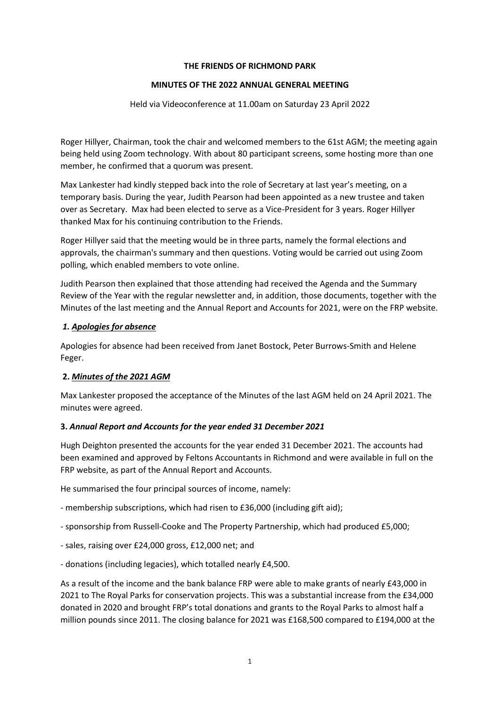#### **THE FRIENDS OF RICHMOND PARK**

### **MINUTES OF THE 2022 ANNUAL GENERAL MEETING**

Held via Videoconference at 11.00am on Saturday 23 April 2022

Roger Hillyer, Chairman, took the chair and welcomed members to the 61st AGM; the meeting again being held using Zoom technology. With about 80 participant screens, some hosting more than one member, he confirmed that a quorum was present.

Max Lankester had kindly stepped back into the role of Secretary at last year's meeting, on a temporary basis. During the year, Judith Pearson had been appointed as a new trustee and taken over as Secretary. Max had been elected to serve as a Vice-President for 3 years. Roger Hillyer thanked Max for his continuing contribution to the Friends.

Roger Hillyer said that the meeting would be in three parts, namely the formal elections and approvals, the chairman's summary and then questions. Voting would be carried out using Zoom polling, which enabled members to vote online.

Judith Pearson then explained that those attending had received the Agenda and the Summary Review of the Year with the regular newsletter and, in addition, those documents, together with the Minutes of the last meeting and the Annual Report and Accounts for 2021, were on the FRP website.

### *1. Apologies for absence*

Apologies for absence had been received from Janet Bostock, Peter Burrows-Smith and Helene Feger.

## **2.** *Minutes of the 2021 AGM*

Max Lankester proposed the acceptance of the Minutes of the last AGM held on 24 April 2021. The minutes were agreed.

## **3.** *Annual Report and Accounts for the year ended 31 December 2021*

Hugh Deighton presented the accounts for the year ended 31 December 2021. The accounts had been examined and approved by Feltons Accountants in Richmond and were available in full on the FRP website, as part of the Annual Report and Accounts.

He summarised the four principal sources of income, namely:

- membership subscriptions, which had risen to £36,000 (including gift aid);

- sponsorship from Russell-Cooke and The Property Partnership, which had produced £5,000;
- sales, raising over £24,000 gross, £12,000 net; and
- donations (including legacies), which totalled nearly £4,500.

As a result of the income and the bank balance FRP were able to make grants of nearly £43,000 in 2021 to The Royal Parks for conservation projects. This was a substantial increase from the £34,000 donated in 2020 and brought FRP's total donations and grants to the Royal Parks to almost half a million pounds since 2011. The closing balance for 2021 was £168,500 compared to £194,000 at the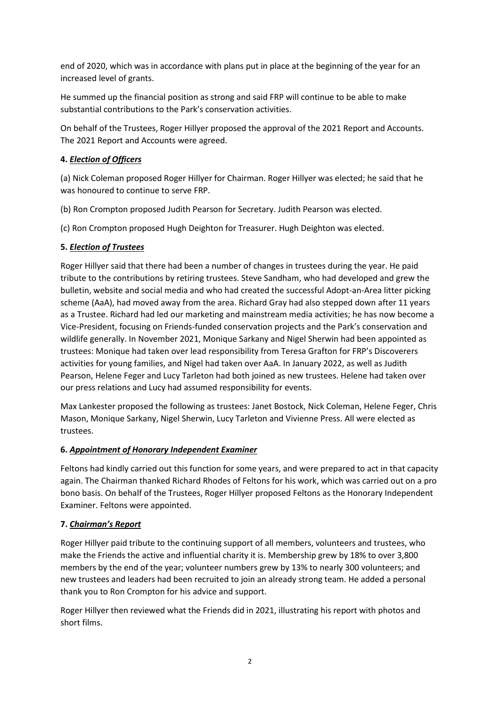end of 2020, which was in accordance with plans put in place at the beginning of the year for an increased level of grants.

He summed up the financial position as strong and said FRP will continue to be able to make substantial contributions to the Park's conservation activities.

On behalf of the Trustees, Roger Hillyer proposed the approval of the 2021 Report and Accounts. The 2021 Report and Accounts were agreed.

# **4.** *Election of Officers*

(a) Nick Coleman proposed Roger Hillyer for Chairman. Roger Hillyer was elected; he said that he was honoured to continue to serve FRP.

(b) Ron Crompton proposed Judith Pearson for Secretary. Judith Pearson was elected.

(c) Ron Crompton proposed Hugh Deighton for Treasurer. Hugh Deighton was elected.

## **5.** *Election of Trustees*

Roger Hillyer said that there had been a number of changes in trustees during the year. He paid tribute to the contributions by retiring trustees. Steve Sandham, who had developed and grew the bulletin, website and social media and who had created the successful Adopt-an-Area litter picking scheme (AaA), had moved away from the area. Richard Gray had also stepped down after 11 years as a Trustee. Richard had led our marketing and mainstream media activities; he has now become a Vice-President, focusing on Friends-funded conservation projects and the Park's conservation and wildlife generally. In November 2021, Monique Sarkany and Nigel Sherwin had been appointed as trustees: Monique had taken over lead responsibility from Teresa Grafton for FRP's Discoverers activities for young families, and Nigel had taken over AaA. In January 2022, as well as Judith Pearson, Helene Feger and Lucy Tarleton had both joined as new trustees. Helene had taken over our press relations and Lucy had assumed responsibility for events.

Max Lankester proposed the following as trustees: Janet Bostock, Nick Coleman, Helene Feger, Chris Mason, Monique Sarkany, Nigel Sherwin, Lucy Tarleton and Vivienne Press. All were elected as trustees.

## **6.** *Appointment of Honorary Independent Examiner*

Feltons had kindly carried out this function for some years, and were prepared to act in that capacity again. The Chairman thanked Richard Rhodes of Feltons for his work, which was carried out on a pro bono basis. On behalf of the Trustees, Roger Hillyer proposed Feltons as the Honorary Independent Examiner. Feltons were appointed.

## **7.** *Chairman's Report*

Roger Hillyer paid tribute to the continuing support of all members, volunteers and trustees, who make the Friends the active and influential charity it is. Membership grew by 18% to over 3,800 members by the end of the year; volunteer numbers grew by 13% to nearly 300 volunteers; and new trustees and leaders had been recruited to join an already strong team. He added a personal thank you to Ron Crompton for his advice and support.

Roger Hillyer then reviewed what the Friends did in 2021, illustrating his report with photos and short films.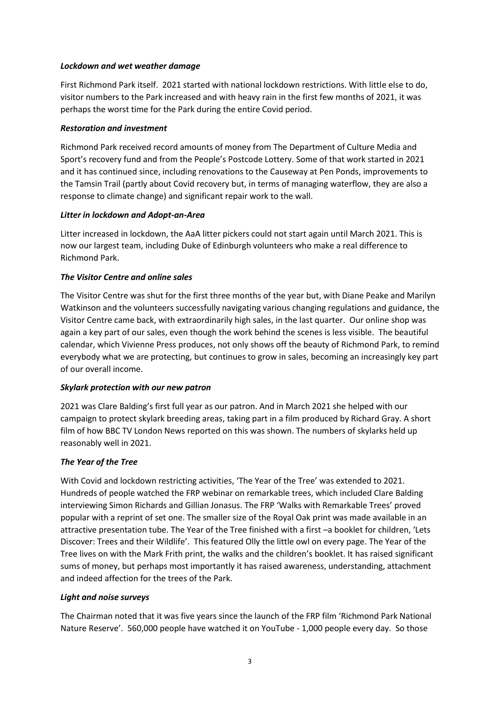### *Lockdown and wet weather damage*

First Richmond Park itself. 2021 started with national lockdown restrictions. With little else to do, visitor numbers to the Park increased and with heavy rain in the first few months of 2021, it was perhaps the worst time for the Park during the entire Covid period.

### *Restoration and investment*

Richmond Park received record amounts of money from The Department of Culture Media and Sport's recovery fund and from the People's Postcode Lottery. Some of that work started in 2021 and it has continued since, including renovations to the Causeway at Pen Ponds, improvements to the Tamsin Trail (partly about Covid recovery but, in terms of managing waterflow, they are also a response to climate change) and significant repair work to the wall.

### *Litter in lockdown and Adopt-an-Area*

Litter increased in lockdown, the AaA litter pickers could not start again until March 2021. This is now our largest team, including Duke of Edinburgh volunteers who make a real difference to Richmond Park.

### *The Visitor Centre and online sales*

The Visitor Centre was shut for the first three months of the year but, with Diane Peake and Marilyn Watkinson and the volunteers successfully navigating various changing regulations and guidance, the Visitor Centre came back, with extraordinarily high sales, in the last quarter. Our online shop was again a key part of our sales, even though the work behind the scenes is less visible. The beautiful calendar, which Vivienne Press produces, not only shows off the beauty of Richmond Park, to remind everybody what we are protecting, but continues to grow in sales, becoming an increasingly key part of our overall income.

## *Skylark protection with our new patron*

2021 was Clare Balding's first full year as our patron. And in March 2021 she helped with our campaign to protect skylark breeding areas, taking part in a film produced by Richard Gray. A short film of how BBC TV London News reported on this was shown. The numbers of skylarks held up reasonably well in 2021.

#### *The Year of the Tree*

With Covid and lockdown restricting activities, 'The Year of the Tree' was extended to 2021. Hundreds of people watched the FRP webinar on remarkable trees, which included Clare Balding interviewing Simon Richards and Gillian Jonasus. The FRP 'Walks with Remarkable Trees' proved popular with a reprint of set one. The smaller size of the Royal Oak print was made available in an attractive presentation tube. The Year of the Tree finished with a first –a booklet for children, 'Lets Discover: Trees and their Wildlife'. This featured Olly the little owl on every page. The Year of the Tree lives on with the Mark Frith print, the walks and the children's booklet. It has raised significant sums of money, but perhaps most importantly it has raised awareness, understanding, attachment and indeed affection for the trees of the Park.

#### *Light and noise surveys*

The Chairman noted that it was five years since the launch of the FRP film 'Richmond Park National Nature Reserve'. 560,000 people have watched it on YouTube - 1,000 people every day. So those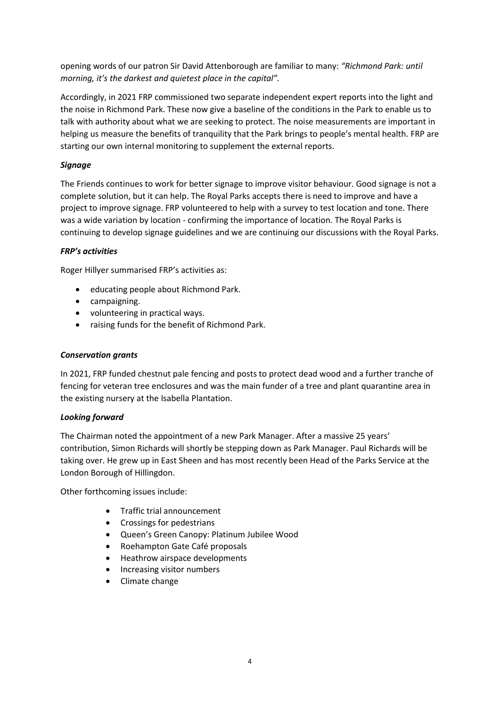opening words of our patron Sir David Attenborough are familiar to many: *"Richmond Park: until morning, it's the darkest and quietest place in the capital".*

Accordingly, in 2021 FRP commissioned two separate independent expert reports into the light and the noise in Richmond Park. These now give a baseline of the conditions in the Park to enable us to talk with authority about what we are seeking to protect. The noise measurements are important in helping us measure the benefits of tranquility that the Park brings to people's mental health. FRP are starting our own internal monitoring to supplement the external reports.

## *Signage*

The Friends continues to work for better signage to improve visitor behaviour. Good signage is not a complete solution, but it can help. The Royal Parks accepts there is need to improve and have a project to improve signage. FRP volunteered to help with a survey to test location and tone. There was a wide variation by location - confirming the importance of location. The Royal Parks is continuing to develop signage guidelines and we are continuing our discussions with the Royal Parks.

## *FRP's activities*

Roger Hillyer summarised FRP's activities as:

- educating people about Richmond Park.
- campaigning.
- volunteering in practical ways.
- raising funds for the benefit of Richmond Park.

### *Conservation grants*

In 2021, FRP funded chestnut pale fencing and posts to protect dead wood and a further tranche of fencing for veteran tree enclosures and was the main funder of a tree and plant quarantine area in the existing nursery at the Isabella Plantation.

#### *Looking forward*

The Chairman noted the appointment of a new Park Manager. After a massive 25 years' contribution, Simon Richards will shortly be stepping down as Park Manager. Paul Richards will be taking over. He grew up in East Sheen and has most recently been Head of the Parks Service at the London Borough of Hillingdon.

Other forthcoming issues include:

- Traffic trial announcement
- Crossings for pedestrians
- Queen's Green Canopy: Platinum Jubilee Wood
- Roehampton Gate Café proposals
- Heathrow airspace developments
- Increasing visitor numbers
- Climate change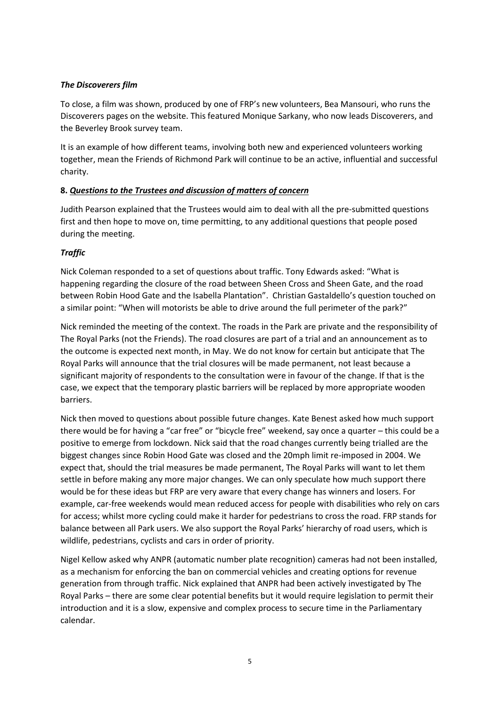## *The Discoverers film*

To close, a film was shown, produced by one of FRP's new volunteers, Bea Mansouri, who runs the Discoverers pages on the website. This featured Monique Sarkany, who now leads Discoverers, and the Beverley Brook survey team.

It is an example of how different teams, involving both new and experienced volunteers working together, mean the Friends of Richmond Park will continue to be an active, influential and successful charity.

# **8.** *Questions to the Trustees and discussion of matters of concern*

Judith Pearson explained that the Trustees would aim to deal with all the pre-submitted questions first and then hope to move on, time permitting, to any additional questions that people posed during the meeting.

# *Traffic*

Nick Coleman responded to a set of questions about traffic. Tony Edwards asked: "What is happening regarding the closure of the road between Sheen Cross and Sheen Gate, and the road between Robin Hood Gate and the Isabella Plantation". Christian Gastaldello's question touched on a similar point: "When will motorists be able to drive around the full perimeter of the park?"

Nick reminded the meeting of the context. The roads in the Park are private and the responsibility of The Royal Parks (not the Friends). The road closures are part of a trial and an announcement as to the outcome is expected next month, in May. We do not know for certain but anticipate that The Royal Parks will announce that the trial closures will be made permanent, not least because a significant majority of respondents to the consultation were in favour of the change. If that is the case, we expect that the temporary plastic barriers will be replaced by more appropriate wooden barriers.

Nick then moved to questions about possible future changes. Kate Benest asked how much support there would be for having a "car free" or "bicycle free" weekend, say once a quarter – this could be a positive to emerge from lockdown. Nick said that the road changes currently being trialled are the biggest changes since Robin Hood Gate was closed and the 20mph limit re-imposed in 2004. We expect that, should the trial measures be made permanent, The Royal Parks will want to let them settle in before making any more major changes. We can only speculate how much support there would be for these ideas but FRP are very aware that every change has winners and losers. For example, car-free weekends would mean reduced access for people with disabilities who rely on cars for access; whilst more cycling could make it harder for pedestrians to cross the road. FRP stands for balance between all Park users. We also support the Royal Parks' hierarchy of road users, which is wildlife, pedestrians, cyclists and cars in order of priority.

Nigel Kellow asked why ANPR (automatic number plate recognition) cameras had not been installed, as a mechanism for enforcing the ban on commercial vehicles and creating options for revenue generation from through traffic. Nick explained that ANPR had been actively investigated by The Royal Parks – there are some clear potential benefits but it would require legislation to permit their introduction and it is a slow, expensive and complex process to secure time in the Parliamentary calendar.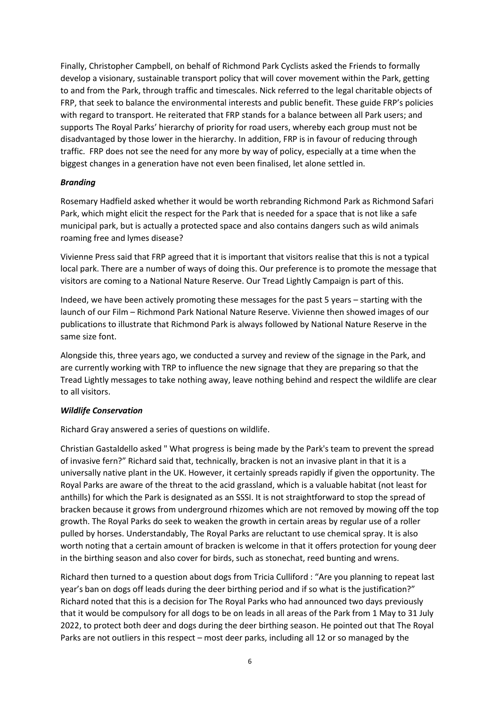Finally, Christopher Campbell, on behalf of Richmond Park Cyclists asked the Friends to formally develop a visionary, sustainable transport policy that will cover movement within the Park, getting to and from the Park, through traffic and timescales. Nick referred to the legal charitable objects of FRP, that seek to balance the environmental interests and public benefit. These guide FRP's policies with regard to transport. He reiterated that FRP stands for a balance between all Park users; and supports The Royal Parks' hierarchy of priority for road users, whereby each group must not be disadvantaged by those lower in the hierarchy. In addition, FRP is in favour of reducing through traffic. FRP does not see the need for any more by way of policy, especially at a time when the biggest changes in a generation have not even been finalised, let alone settled in.

### *Branding*

Rosemary Hadfield asked whether it would be worth rebranding Richmond Park as Richmond Safari Park, which might elicit the respect for the Park that is needed for a space that is not like a safe municipal park, but is actually a protected space and also contains dangers such as wild animals roaming free and lymes disease?

Vivienne Press said that FRP agreed that it is important that visitors realise that this is not a typical local park. There are a number of ways of doing this. Our preference is to promote the message that visitors are coming to a National Nature Reserve. Our Tread Lightly Campaign is part of this.

Indeed, we have been actively promoting these messages for the past 5 years – starting with the launch of our Film – Richmond Park National Nature Reserve. Vivienne then showed images of our publications to illustrate that Richmond Park is always followed by National Nature Reserve in the same size font.

Alongside this, three years ago, we conducted a survey and review of the signage in the Park, and are currently working with TRP to influence the new signage that they are preparing so that the Tread Lightly messages to take nothing away, leave nothing behind and respect the wildlife are clear to all visitors.

#### *Wildlife Conservation*

Richard Gray answered a series of questions on wildlife.

Christian Gastaldello asked " What progress is being made by the Park's team to prevent the spread of invasive fern?" Richard said that, technically, bracken is not an invasive plant in that it is a universally native plant in the UK. However, it certainly spreads rapidly if given the opportunity. The Royal Parks are aware of the threat to the acid grassland, which is a valuable habitat (not least for anthills) for which the Park is designated as an SSSI. It is not straightforward to stop the spread of bracken because it grows from underground rhizomes which are not removed by mowing off the top growth. The Royal Parks do seek to weaken the growth in certain areas by regular use of a roller pulled by horses. Understandably, The Royal Parks are reluctant to use chemical spray. It is also worth noting that a certain amount of bracken is welcome in that it offers protection for young deer in the birthing season and also cover for birds, such as stonechat, reed bunting and wrens.

Richard then turned to a question about dogs from Tricia Culliford : "Are you planning to repeat last year's ban on dogs off leads during the deer birthing period and if so what is the justification?" Richard noted that this is a decision for The Royal Parks who had announced two days previously that it would be compulsory for all dogs to be on leads in all areas of the Park from 1 May to 31 July 2022, to protect both deer and dogs during the deer birthing season. He pointed out that The Royal Parks are not outliers in this respect – most deer parks, including all 12 or so managed by the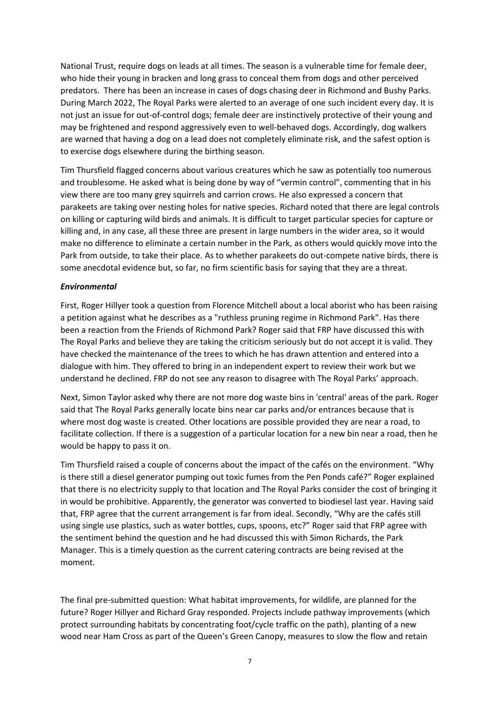National Trust, require dogs on leads at all times. The season is a vulnerable time for female deer, who hide their young in bracken and long grass to conceal them from dogs and other perceived predators. There has been an increase in cases of dogs chasing deer in Richmond and Bushy Parks. During March 2022, The Royal Parks were alerted to an average of one such incident every day. It is not just an issue for out-of-control dogs; female deer are instinctively protective of their young and may be frightened and respond aggressively even to well-behaved dogs. Accordingly, dog walkers are warned that having a dog on a lead does not completely eliminate risk, and the safest option is to exercise dogs elsewhere during the birthing season.

Tim Thursfield flagged concerns about various creatures which he saw as potentially too numerous and troublesome. He asked what is being done by way of "vermin control", commenting that in his view there are too many grey squirrels and carrion crows. He also expressed a concern that parakeets are taking over nesting holes for native species. Richard noted that there are legal controls on killing or capturing wild birds and animals. It is difficult to target particular species for capture or killing and, in any case, all these three are present in large numbers in the wider area, so it would make no difference to eliminate a certain number in the Park, as others would quickly move into the Park from outside, to take their place. As to whether parakeets do out-compete native birds, there is some anecdotal evidence but, so far, no firm scientific basis for saying that they are a threat.

### *Environmental*

First, Roger Hillyer took a question from Florence Mitchell about a local aborist who has been raising a petition against what he describes as a "ruthless pruning regime in Richmond Park". Has there been a reaction from the Friends of Richmond Park? Roger said that FRP have discussed this with The Royal Parks and believe they are taking the criticism seriously but do not accept it is valid. They have checked the maintenance of the trees to which he has drawn attention and entered into a dialogue with him. They offered to bring in an independent expert to review their work but we understand he declined. FRP do not see any reason to disagree with The Royal Parks' approach.

Next, Simon Taylor asked why there are not more dog waste bins in 'central' areas of the park. Roger said that The Royal Parks generally locate bins near car parks and/or entrances because that is where most dog waste is created. Other locations are possible provided they are near a road, to facilitate collection. If there is a suggestion of a particular location for a new bin near a road, then he would be happy to pass it on.

Tim Thursfield raised a couple of concerns about the impact of the cafés on the environment. "Why is there still a diesel generator pumping out toxic fumes from the Pen Ponds café?" Roger explained that there is no electricity supply to that location and The Royal Parks consider the cost of bringing it in would be prohibitive. Apparently, the generator was converted to biodiesel last year. Having said that, FRP agree that the current arrangement is far from ideal. Secondly, "Why are the cafés still using single use plastics, such as water bottles, cups, spoons, etc?" Roger said that FRP agree with the sentiment behind the question and he had discussed this with Simon Richards, the Park Manager. This is a timely question as the current catering contracts are being revised at the moment.

The final pre-submitted question: What habitat improvements, for wildlife, are planned for the future? Roger Hillyer and Richard Gray responded. Projects include pathway improvements (which protect surrounding habitats by concentrating foot/cycle traffic on the path), planting of a new wood near Ham Cross as part of the Queen's Green Canopy, measures to slow the flow and retain